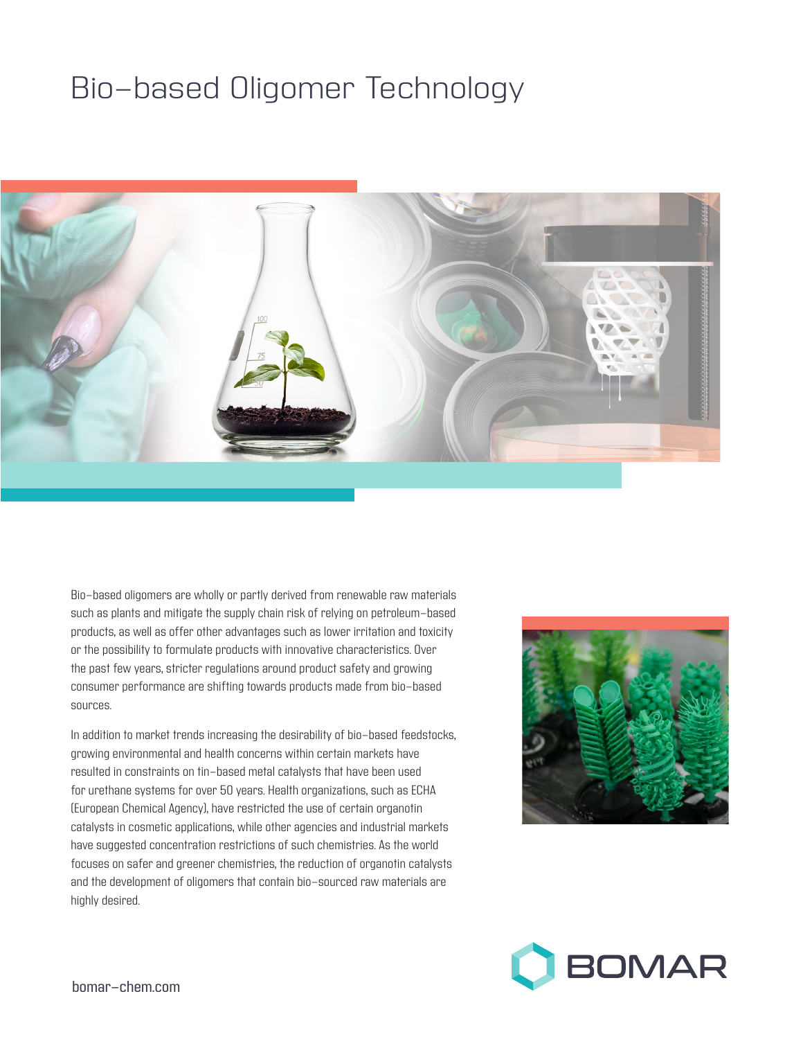# Bio-based Oligomer Technology



Bio-based oligomers are wholly or partly derived from renewable raw materials such as plants and mitigate the supply chain risk of relying on petroleum-based products, as well as offer other advantages such as lower irritation and toxicity or the possibility to formulate products with innovative characteristics. Over the past few years, stricter regulations around product safety and growing consumer performance are shifting towards products made from bio-based sources.

In addition to market trends increasing the desirability of bio-based feedstocks, growing environmental and health concerns within certain markets have resulted in constraints on tin-based metal catalysts that have been used for urethane systems for over 50 years. Health organizations, such as ECHA (European Chemical Agency), have restricted the use of certain organotin catalysts in cosmetic applications, while other agencies and industrial markets have suggested concentration restrictions of such chemistries. As the world focuses on safer and greener chemistries, the reduction of organotin catalysts and the development of oligomers that contain bio-sourced raw materials are highly desired.